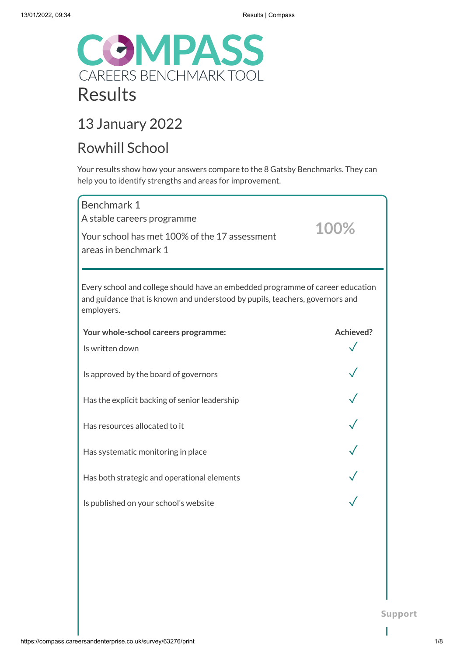

## 13 January 2022

## Rowhill School

Your results show how your answers compare to the 8 Gatsby Benchmarks. They can help you to identify strengths and areas for improvement.

| Benchmark 1<br>A stable careers programme<br>Your school has met 100% of the 17 assessment<br>areas in benchmark 1                                                           | 100%      |
|------------------------------------------------------------------------------------------------------------------------------------------------------------------------------|-----------|
| Every school and college should have an embedded programme of career education<br>and guidance that is known and understood by pupils, teachers, governors and<br>employers. |           |
| Your whole-school careers programme:                                                                                                                                         | Achieved? |
| Is written down                                                                                                                                                              |           |
| Is approved by the board of governors                                                                                                                                        |           |
| Has the explicit backing of senior leadership                                                                                                                                |           |
| Has resources allocated to it                                                                                                                                                |           |
| Has systematic monitoring in place                                                                                                                                           |           |
| Has both strategic and operational elements                                                                                                                                  |           |
| Is published on your school's website                                                                                                                                        |           |
|                                                                                                                                                                              |           |
|                                                                                                                                                                              |           |
|                                                                                                                                                                              |           |

**Support**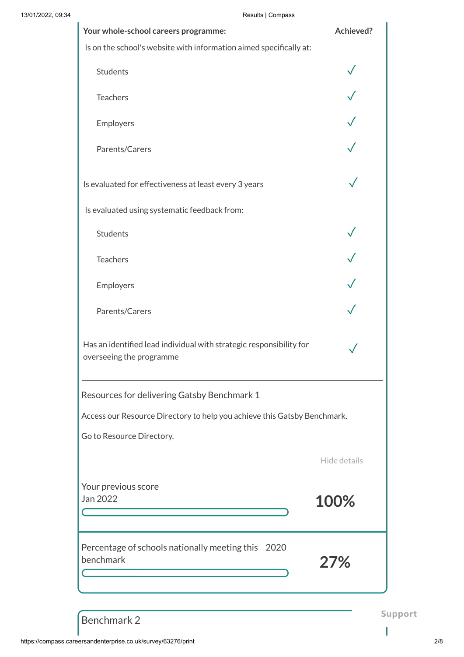| 13/01/2022, 09:34 | Results   Compass                                                                               |              |
|-------------------|-------------------------------------------------------------------------------------------------|--------------|
|                   | Your whole-school careers programme:                                                            | Achieved?    |
|                   | Is on the school's website with information aimed specifically at:                              |              |
|                   | Students                                                                                        |              |
|                   | Teachers                                                                                        |              |
|                   | Employers                                                                                       |              |
|                   | Parents/Carers                                                                                  |              |
|                   | Is evaluated for effectiveness at least every 3 years                                           |              |
|                   | Is evaluated using systematic feedback from:                                                    |              |
|                   | Students                                                                                        |              |
|                   | Teachers                                                                                        |              |
|                   | Employers                                                                                       |              |
|                   | Parents/Carers                                                                                  |              |
|                   | Has an identified lead individual with strategic responsibility for<br>overseeing the programme |              |
|                   | Resources for delivering Gatsby Benchmark 1                                                     |              |
|                   | Access our Resource Directory to help you achieve this Gatsby Benchmark.                        |              |
|                   | Go to Resource Directory.                                                                       |              |
|                   |                                                                                                 | Hide details |
|                   | Your previous score<br>Jan 2022                                                                 | 100%         |
|                   | Percentage of schools nationally meeting this 2020<br>benchmark                                 | 27%          |
|                   |                                                                                                 |              |

Benchmark 2

 $\mathbf{I}$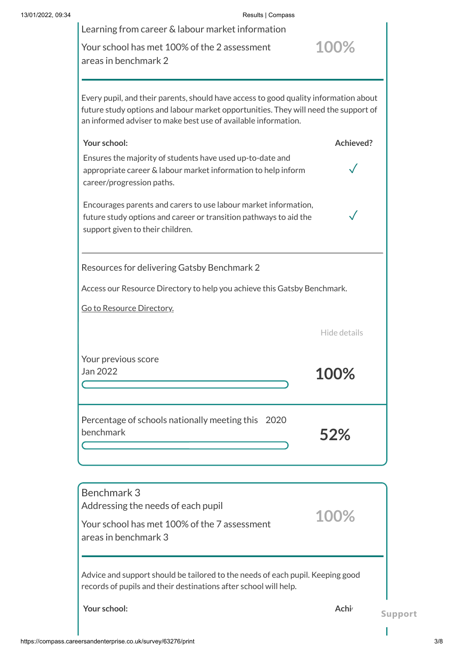| Results   Compass                                                                                                                                                                                                                             |                              |
|-----------------------------------------------------------------------------------------------------------------------------------------------------------------------------------------------------------------------------------------------|------------------------------|
| Learning from career & labour market information                                                                                                                                                                                              |                              |
| Your school has met 100% of the 2 assessment<br>areas in benchmark 2                                                                                                                                                                          | 100%                         |
|                                                                                                                                                                                                                                               |                              |
| Every pupil, and their parents, should have access to good quality information about<br>future study options and labour market opportunities. They will need the support of<br>an informed adviser to make best use of available information. |                              |
| Your school:                                                                                                                                                                                                                                  | Achieved?                    |
| Ensures the majority of students have used up-to-date and<br>appropriate career & labour market information to help inform<br>career/progression paths.                                                                                       |                              |
| Encourages parents and carers to use labour market information,<br>future study options and career or transition pathways to aid the<br>support given to their children.                                                                      |                              |
| Resources for delivering Gatsby Benchmark 2                                                                                                                                                                                                   |                              |
| Access our Resource Directory to help you achieve this Gatsby Benchmark.                                                                                                                                                                      |                              |
| Go to Resource Directory.                                                                                                                                                                                                                     |                              |
|                                                                                                                                                                                                                                               | Hide details                 |
| Your previous score<br>Jan 2022                                                                                                                                                                                                               | 100%                         |
| Percentage of schools nationally meeting this 2020<br>benchmark                                                                                                                                                                               | 52%                          |
| Benchmark 3                                                                                                                                                                                                                                   |                              |
| Addressing the needs of each pupil<br>Your school has met 100% of the 7 assessment<br>areas in benchmark 3                                                                                                                                    | 100%                         |
| Advice and support should be tailored to the needs of each pupil. Keeping good<br>records of pupils and their destinations after school will help.                                                                                            |                              |
| Your school:                                                                                                                                                                                                                                  | Achi <sup>®</sup><br>Support |
|                                                                                                                                                                                                                                               |                              |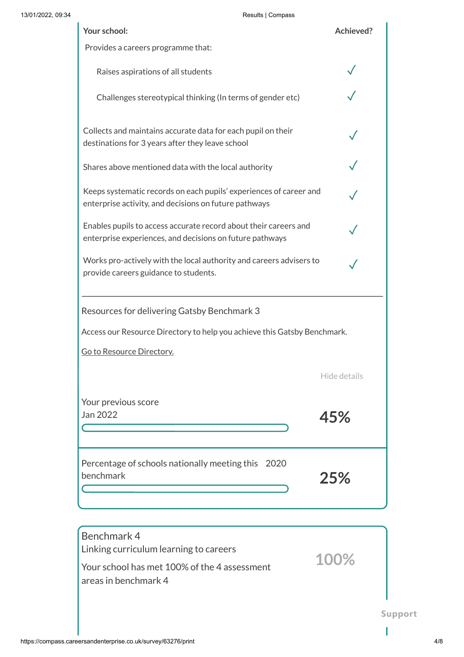| Your school:                                                                                                                 | Achieved?    |
|------------------------------------------------------------------------------------------------------------------------------|--------------|
| Provides a careers programme that:                                                                                           |              |
| Raises aspirations of all students                                                                                           |              |
| Challenges stereotypical thinking (In terms of gender etc)                                                                   |              |
| Collects and maintains accurate data for each pupil on their<br>destinations for 3 years after they leave school             |              |
| Shares above mentioned data with the local authority                                                                         |              |
| Keeps systematic records on each pupils' experiences of career and<br>enterprise activity, and decisions on future pathways  |              |
| Enables pupils to access accurate record about their careers and<br>enterprise experiences, and decisions on future pathways |              |
| Works pro-actively with the local authority and careers advisers to<br>provide careers guidance to students.                 |              |
| Resources for delivering Gatsby Benchmark 3                                                                                  |              |
| Access our Resource Directory to help you achieve this Gatsby Benchmark.                                                     |              |
| Go to Resource Directory.                                                                                                    |              |
|                                                                                                                              | Hide details |
| Your previous score<br>Jan 2022                                                                                              | 45%          |
| Percentage of schools nationally meeting this 2020<br>benchmark                                                              | 25%          |

| Benchmark 4<br>Linking curriculum learning to careers<br>Your school has met 100% of the 4 assessment<br>areas in benchmark 4 | 100% |  |
|-------------------------------------------------------------------------------------------------------------------------------|------|--|
|                                                                                                                               |      |  |

I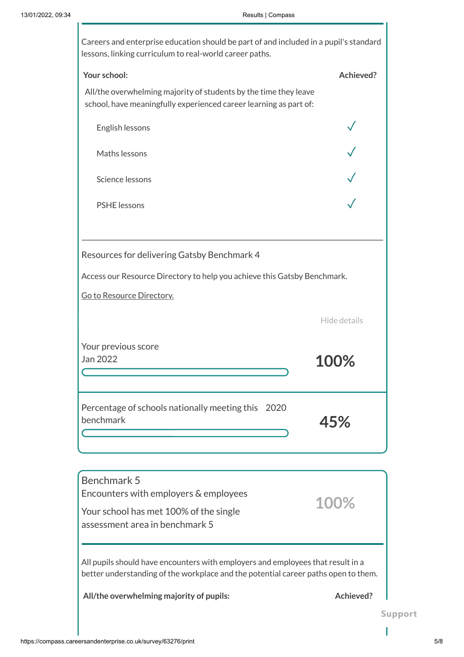| Careers and enterprise education should be part of and included in a pupil's standard<br>lessons, linking curriculum to real-world career paths.                      |              |
|-----------------------------------------------------------------------------------------------------------------------------------------------------------------------|--------------|
| Your school:                                                                                                                                                          | Achieved?    |
| All/the overwhelming majority of students by the time they leave<br>school, have meaningfully experienced career learning as part of:                                 |              |
| English lessons                                                                                                                                                       |              |
| Maths lessons                                                                                                                                                         |              |
| Science lessons                                                                                                                                                       |              |
| <b>PSHE</b> lessons                                                                                                                                                   |              |
|                                                                                                                                                                       |              |
| Resources for delivering Gatsby Benchmark 4                                                                                                                           |              |
| Access our Resource Directory to help you achieve this Gatsby Benchmark.                                                                                              |              |
| Go to Resource Directory.                                                                                                                                             |              |
|                                                                                                                                                                       | Hide details |
| Your previous score<br>Jan 2022                                                                                                                                       |              |
| Percentage of schools nationally meeting this 2020<br>benchmark                                                                                                       | 45%          |
|                                                                                                                                                                       |              |
| Benchmark 5<br>Encounters with employers & employees                                                                                                                  |              |
| Your school has met 100% of the single<br>assessment area in benchmark 5                                                                                              | 100%         |
| All pupils should have encounters with employers and employees that result in a<br>better understanding of the workplace and the potential career paths open to them. |              |
| All/the overwhelming majority of pupils:                                                                                                                              | Achieved?    |

I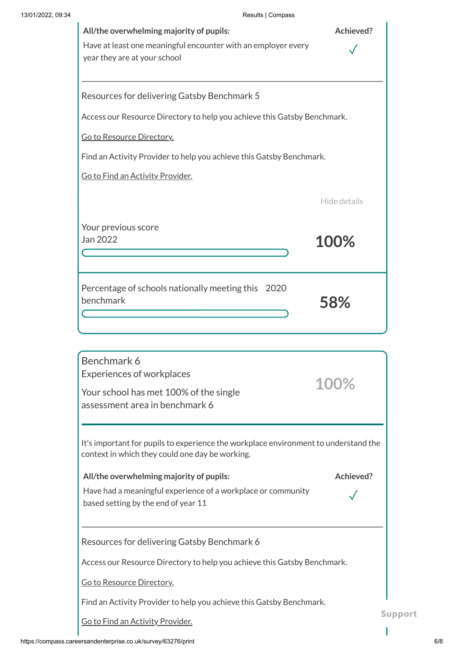| All/the overwhelming majority of pupils:<br>Have at least one meaningful encounter with an employer every<br>year they are at your school | Achieved?    |
|-------------------------------------------------------------------------------------------------------------------------------------------|--------------|
| Resources for delivering Gatsby Benchmark 5                                                                                               |              |
| Access our Resource Directory to help you achieve this Gatsby Benchmark.                                                                  |              |
| Go to Resource Directory.                                                                                                                 |              |
| Find an Activity Provider to help you achieve this Gatsby Benchmark.                                                                      |              |
| Go to Find an Activity Provider.                                                                                                          |              |
|                                                                                                                                           | Hide details |
| Your previous score<br>Jan 2022                                                                                                           | 100%         |
| Percentage of schools nationally meeting this 2020<br>benchmark                                                                           | 58%          |
|                                                                                                                                           |              |
| Benchmark 6<br><b>Experiences of workplaces</b><br>Your school has met 100% of the single<br>assessment area in benchmark 6               | 100%         |
| It's important for pupils to experience the workplace environment to understand the                                                       |              |

| it a million tarit for papila to experience the workplace environment to anacratana the<br>context in which they could one day be working. |           |      |
|--------------------------------------------------------------------------------------------------------------------------------------------|-----------|------|
| All/the overwhelming majority of pupils:                                                                                                   | Achieved? |      |
| Have had a meaningful experience of a workplace or community<br>based setting by the end of year 11                                        |           |      |
| Resources for delivering Gatsby Benchmark 6                                                                                                |           |      |
| Access our Resource Directory to help you achieve this Gatsby Benchmark.                                                                   |           |      |
| Go to Resource Directory.                                                                                                                  |           |      |
| Find an Activity Provider to help you achieve this Gatsby Benchmark.                                                                       |           |      |
| Go to Find an Activity Provider.                                                                                                           |           | Supp |
|                                                                                                                                            |           |      |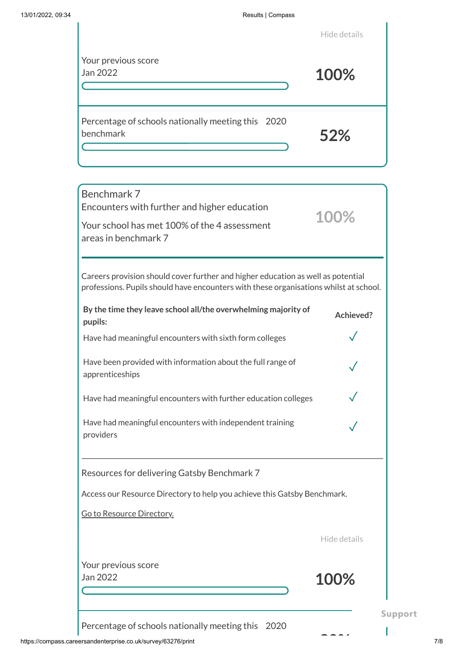|                                                                 | Hide details |
|-----------------------------------------------------------------|--------------|
| Your previous score<br>Jan 2022                                 | 100%         |
| Percentage of schools nationally meeting this 2020<br>benchmark | 52%          |

| Benchmark 7                                                                                                                                                               |                |
|---------------------------------------------------------------------------------------------------------------------------------------------------------------------------|----------------|
| Encounters with further and higher education                                                                                                                              | 100%           |
| Your school has met 100% of the 4 assessment<br>areas in benchmark 7                                                                                                      |                |
|                                                                                                                                                                           |                |
| Careers provision should cover further and higher education as well as potential<br>professions. Pupils should have encounters with these organisations whilst at school. |                |
| By the time they leave school all/the overwhelming majority of<br>pupils:                                                                                                 | Achieved?      |
| Have had meaningful encounters with sixth form colleges                                                                                                                   |                |
| Have been provided with information about the full range of<br>apprenticeships                                                                                            |                |
| Have had meaningful encounters with further education colleges                                                                                                            |                |
| Have had meaningful encounters with independent training<br>providers                                                                                                     |                |
| Resources for delivering Gatsby Benchmark 7                                                                                                                               |                |
| Access our Resource Directory to help you achieve this Gatsby Benchmark.                                                                                                  |                |
| Go to Resource Directory.                                                                                                                                                 |                |
|                                                                                                                                                                           | Hide details   |
| Your previous score                                                                                                                                                       |                |
| Jan 2022                                                                                                                                                                  | 100%           |
|                                                                                                                                                                           |                |
|                                                                                                                                                                           | <b>Support</b> |

Percentage of schools nationally meeting this 2020

**30%**

I